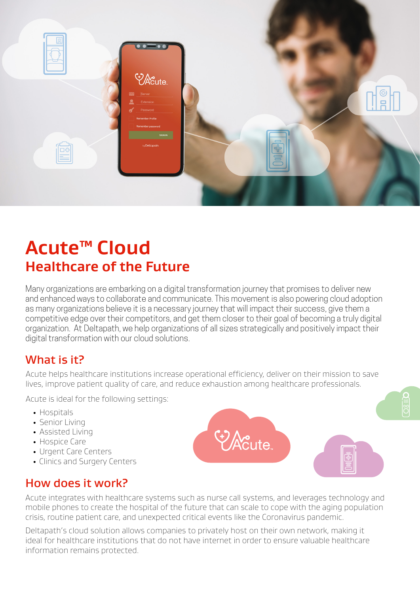

# **Healthcare of the Future Acute™ Cloud**

Many organizations are embarking on a digital transformation journey that promises to deliver new and enhanced ways to collaborate and communicate. This movement is also powering cloud adoption as many organizations believe it is a necessary journey that will impact their success, give them a competitive edge over their competitors, and get them closer to their goal of becoming a truly digital organization. At Deltapath, we help organizations of all sizes strategically and positively impact their digital transformation with our cloud solutions.

### What is it?

Acute helps healthcare institutions increase operational efficiency, deliver on their mission to save lives, improve patient quality of care, and reduce exhaustion among healthcare professionals.

Acute is ideal for the following settings:

- Hospitals
- Senior Living
- Assisted Living
- Hospice Care
- Urgent Care Centers
- Clinics and Surgery Centers

### How does it work?



Acute integrates with healthcare systems such as nurse call systems, and leverages technology and mobile phones to create the hospital of the future that can scale to cope with the aging population crisis, routine patient care, and unexpected critical events like the Coronavirus pandemic.

Deltapath's cloud solution allows companies to privately host on their own network, making it ideal for healthcare institutions that do not have internet in order to ensure valuable healthcare information remains protected.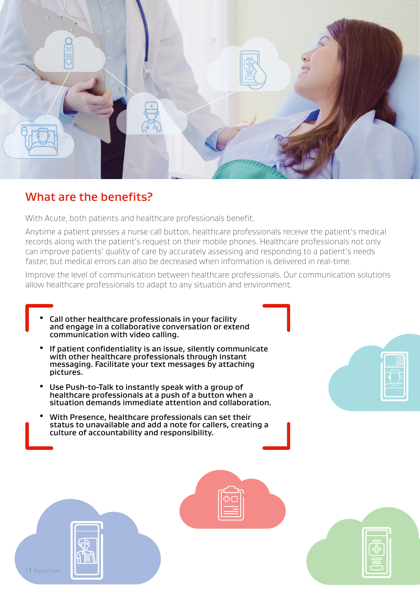

### What are the benefits?

With Acute, both patients and healthcare professionals benefit.

Anytime a patient presses a nurse call button, healthcare professionals receive the patient's medical records along with the patient's request on their mobile phones. Healthcare professionals not only can improve patients' quality of care by accurately assessing and responding to a patient's needs faster, but medical errors can also be decreased when information is delivered in real-time.

Improve the level of communication between healthcare professionals. Our communication solutions allow healthcare professionals to adapt to any situation and environment.

- Call other healthcare professionals in your facility and engage in a collaborative conversation or extend communication with video calling. **•**
- If patient confidentiality is an issue, silently communicate with other healthcare professionals through instant messaging. Facilitate your text messages by attaching pictures. **•**
- Use Push-to-Talk to instantly speak with a group of healthcare professionals at a push of a button when a situation demands immediate attention and collaboration. **•**
- With Presence, healthcare professionals can set their status to unavailable and add a note for callers, creating a culture of accountability and responsibility. **•**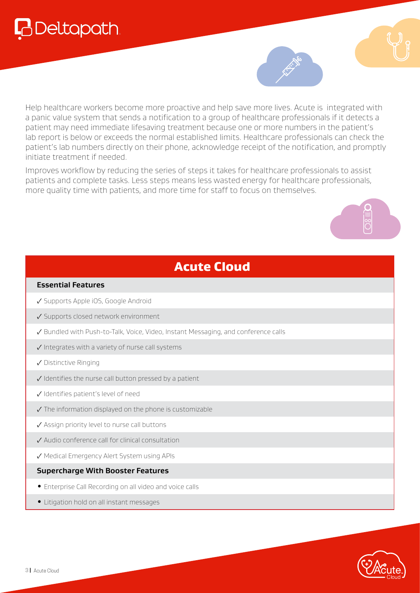Help healthcare workers become more proactive and help save more lives. Acute is integrated with a panic value system that sends a notification to a group of healthcare professionals if it detects a patient may need immediate lifesaving treatment because one or more numbers in the patient's lab report is below or exceeds the normal established limits. Healthcare professionals can check the patient's lab numbers directly on their phone, acknowledge receipt of the notification, and promptly initiate treatment if needed.

Improves workflow by reducing the series of steps it takes for healthcare professionals to assist patients and complete tasks. Less steps means less wasted energy for healthcare professionals, more quality time with patients, and more time for staff to focus on themselves.

## Acute Cloud

#### **Essential Features**

- **✓** Supports Apple iOS, Google Android
- **✓** Supports closed network environment
- **✓** Bundled with Push-to-Talk, Voice, Video, Instant Messaging, and conference calls
- **✓** Integrates with a variety of nurse call systems
- **✓** Distinctive Ringing
- **✓** Identifies the nurse call button pressed by a patient
- **✓** Identifies patient's level of need
- **✓** The information displayed on the phone is customizable
- **✓** Assign priority level to nurse call buttons
- **✓** Audio conference call for clinical consultation
- **✓** Medical Emergency Alert System using APIs

#### **Supercharge With Booster Features**

- Enterprise Call Recording on all video and voice calls
- Litigation hold on all instant messages